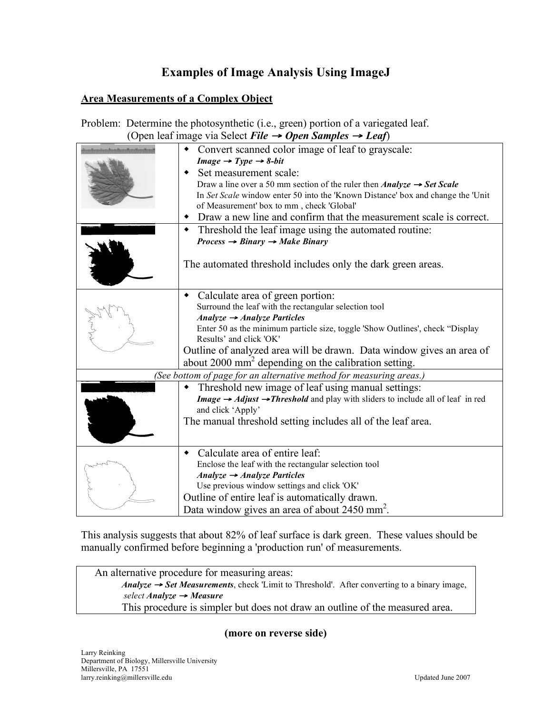# **Examples of Image Analysis Using ImageJ**

# **Area Measurements of a Complex Object**

| Problem: Determine the photosynthetic (i.e., green) portion of a variegated leaf. |
|-----------------------------------------------------------------------------------|
| (Open leaf image via Select File $\rightarrow$ Open Samples $\rightarrow$ Leaf)   |

|                                                                     | Convert scanned color image of leaf to grayscale:                                                      |  |
|---------------------------------------------------------------------|--------------------------------------------------------------------------------------------------------|--|
|                                                                     | $Image \rightarrow Type \rightarrow 8-bit$                                                             |  |
|                                                                     | Set measurement scale:                                                                                 |  |
|                                                                     | Draw a line over a 50 mm section of the ruler then <i>Analyze</i> $\rightarrow$ <i>Set Scale</i>       |  |
|                                                                     | In Set Scale window enter 50 into the 'Known Distance' box and change the 'Unit                        |  |
|                                                                     | of Measurement' box to mm, check 'Global'                                                              |  |
|                                                                     | Draw a new line and confirm that the measurement scale is correct.                                     |  |
|                                                                     | Threshold the leaf image using the automated routine:<br>٠                                             |  |
|                                                                     | $Process \rightarrow Binary \rightarrow Make Binary$                                                   |  |
|                                                                     |                                                                                                        |  |
|                                                                     | The automated threshold includes only the dark green areas.                                            |  |
|                                                                     |                                                                                                        |  |
|                                                                     |                                                                                                        |  |
|                                                                     | Calculate area of green portion:<br>٠                                                                  |  |
|                                                                     | Surround the leaf with the rectangular selection tool                                                  |  |
|                                                                     | Analyze $\rightarrow$ Analyze Particles                                                                |  |
|                                                                     | Enter 50 as the minimum particle size, toggle 'Show Outlines', check "Display                          |  |
|                                                                     | Results' and click 'OK'                                                                                |  |
|                                                                     | Outline of analyzed area will be drawn. Data window gives an area of                                   |  |
|                                                                     | about 2000 mm <sup>2</sup> depending on the calibration setting.                                       |  |
| (See bottom of page for an alternative method for measuring areas.) |                                                                                                        |  |
|                                                                     | Threshold new image of leaf using manual settings:<br>٠                                                |  |
|                                                                     | Image $\rightarrow$ Adjust $\rightarrow$ Threshold and play with sliders to include all of leaf in red |  |
|                                                                     | and click 'Apply'                                                                                      |  |
|                                                                     | The manual threshold setting includes all of the leaf area.                                            |  |
|                                                                     |                                                                                                        |  |
|                                                                     |                                                                                                        |  |
|                                                                     | Calculate area of entire leaf:<br>٠                                                                    |  |
|                                                                     | Enclose the leaf with the rectangular selection tool                                                   |  |
|                                                                     | Analyze $\rightarrow$ Analyze Particles                                                                |  |
|                                                                     | Use previous window settings and click 'OK'                                                            |  |
|                                                                     | Outline of entire leaf is automatically drawn.                                                         |  |
|                                                                     | Data window gives an area of about 2450 mm <sup>2</sup> .                                              |  |

This analysis suggests that about 82% of leaf surface is dark green. These values should be manually confirmed before beginning a 'production run' of measurements.

An alternative procedure for measuring areas: *Analyze* <sup>→</sup> *Set Measurements*, check 'Limit to Threshold'. After converting to a binary image, *select Analyze* <sup>→</sup> *Measure* This procedure is simpler but does not draw an outline of the measured area.

### **(more on reverse side)**